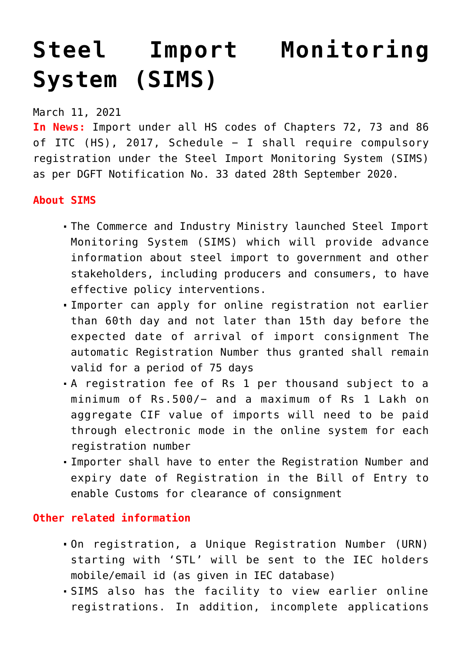## **[Steel Import Monitoring](https://journalsofindia.com/steel-import-monitoring-system-sims/) [System \(SIMS\)](https://journalsofindia.com/steel-import-monitoring-system-sims/)**

March 11, 2021

**In News:** Import under all HS codes of Chapters 72, 73 and 86 of ITC (HS), 2017, Schedule − I shall require compulsory registration under the Steel Import Monitoring System (SIMS) as per DGFT Notification No. 33 dated 28th September 2020.

## **About SIMS**

- The Commerce and Industry Ministry launched Steel Import Monitoring System (SIMS) which will provide advance information about steel import to government and other stakeholders, including producers and consumers, to have effective policy interventions.
- Importer can apply for online registration not earlier than 60th day and not later than 15th day before the expected date of arrival of import consignment The automatic Registration Number thus granted shall remain valid for a period of 75 days
- A registration fee of Rs 1 per thousand subject to a minimum of Rs.500/− and a maximum of Rs 1 Lakh on aggregate CIF value of imports will need to be paid through electronic mode in the online system for each registration number
- Importer shall have to enter the Registration Number and expiry date of Registration in the Bill of Entry to enable Customs for clearance of consignment

## **Other related information**

- On registration, a Unique Registration Number (URN) starting with 'STL' will be sent to the IEC holders mobile/email id (as given in IEC database)
- SIMS also has the facility to view earlier online registrations. In addition, incomplete applications